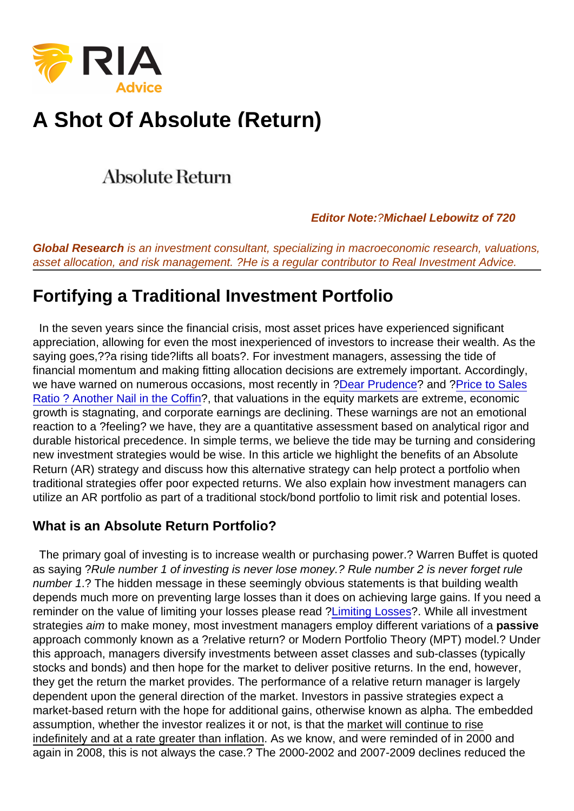# [A Shot Of Absolute \(Return\)](https://realinvestmentadvice.com/wp-content/uploads/2016/07/Absolute-Return-3.png)

Editor Note: ?Michael Lebowitz of 720

Global Research is an investment consultant, specializing in macroeconomic research, valuations, asset allocation, and risk management. ?He is a regular contributor to Real Investment Advice.

# Fortifying a Traditional Investment Portfolio

 In the seven years since the financial crisis, most asset prices have experienced significant appreciation, allowing for even the most inexperienced of investors to increase their wealth. As the saying goes,??a rising tide?lifts all boats?. For investment managers, assessing the tide of financial momentum and making fitting allocation decisions are extremely important. Accordingly, we have warned on numerous occasions, most recently in [?Dear Prudence?](http://nebula.wsimg.com/0976c7196076302fc699df1789f2ee24?AccessKeyId=372BE07F51497C9CD088&disposition=0&alloworigin=1) and ?[Price to Sales](http://nebula.wsimg.com/ae8c1a2c3fc68f28a901487cae128b76?AccessKeyId=372BE07F51497C9CD088&disposition=0&alloworigin=1) [Ratio ? Another Nail in the Coffin?](http://nebula.wsimg.com/ae8c1a2c3fc68f28a901487cae128b76?AccessKeyId=372BE07F51497C9CD088&disposition=0&alloworigin=1), that valuations in the equity markets are extreme, economic growth is stagnating, and corporate earnings are declining. These warnings are not an emotional reaction to a ?feeling? we have, they are a quantitative assessment based on analytical rigor and durable historical precedence. In simple terms, we believe the tide may be turning and considering new investment strategies would be wise. In this article we highlight the benefits of an Absolute Return (AR) strategy and discuss how this alternative strategy can help protect a portfolio when traditional strategies offer poor expected returns. We also explain how investment managers can utilize an AR portfolio as part of a traditional stock/bond portfolio to limit risk and potential loses.

# What is an Absolute Return Portfolio?

 The primary goal of investing is to increase wealth or purchasing power.? Warren Buffet is quoted as saying ?Rule number 1 of investing is never lose money.? Rule number 2 is never forget rule number 1.? The hidden message in these seemingly obvious statements is that building wealth depends much more on preventing large losses than it does on achieving large gains. If you need a reminder on the value of limiting your losses please read [?Limiting Losses?](http://nebula.wsimg.com/881d97f2f5579111e40485c81fc0f55a?AccessKeyId=372BE07F51497C9CD088&disposition=0&alloworigin=1). While all investment strategies aim to make money, most investment managers employ different variations of a passive approach commonly known as a ?relative return? or Modern Portfolio Theory (MPT) model.? Under this approach, managers diversify investments between asset classes and sub-classes (typically stocks and bonds) and then hope for the market to deliver positive returns. In the end, however, they get the return the market provides. The performance of a relative return manager is largely dependent upon the general direction of the market. Investors in passive strategies expect a market-based return with the hope for additional gains, otherwise known as alpha. The embedded assumption, whether the investor realizes it or not, is that the market will continue to rise indefinitely and at a rate greater than inflation. As we know, and were reminded of in 2000 and again in 2008, this is not always the case.? The 2000-2002 and 2007-2009 declines reduced the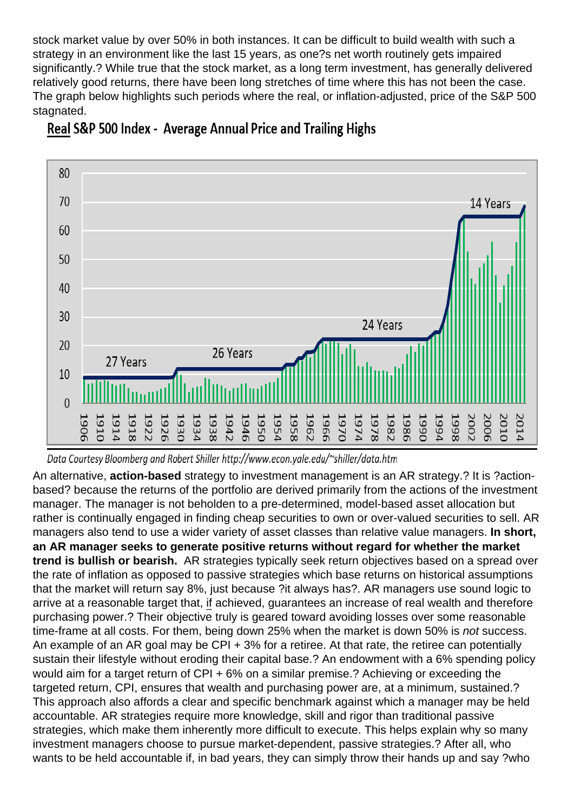stock market value by over 50% in both instances. It can be difficult to build wealth with such a strategy in an environment like the last 15 years, as one?s net worth routinely gets impaired significantly.? While true that the stock market, as a long term investment, has generally delivered relatively good returns, there have been long stretches of time where this has not been the case. The graph below highlights such periods where the real, or inflation-adjusted, price of the S&P 500 stagnated.

An alternative, action-based strategy to investment management is an AR strategy.? It is ?actionbased? because the returns of the portfolio are derived primarily from the actions of the investment manager. The manager is not beholden to a pre-determined, model-based asset allocation but rather is continually engaged in finding cheap securities to own or over-valued securities to sell. AR managers also tend to use a wider variety of asset classes than relative value managers. In short, an AR manager seeks to generate positive returns without regard for whether the market trend is bullish or bearish. AR strategies typically seek return objectives based on a spread over the rate of inflation as opposed to passive strategies which base returns on historical assumptions that the market will return say 8%, just because ?it always has?. AR managers use sound logic to arrive at a reasonable target that, if achieved, guarantees an increase of real wealth and therefore purchasing power.? Their objective truly is geared toward avoiding losses over some reasonable time-frame at all costs. For them, being down 25% when the market is down 50% is not success. An example of an AR goal may be CPI + 3% for a retiree. At that rate, the retiree can potentially sustain their lifestyle without eroding their capital base.? An endowment with a 6% spending policy would aim for a target return of CPI + 6% on a similar premise.? Achieving or exceeding the targeted return, CPI, ensures that wealth and purchasing power are, at a minimum, sustained.? This approach also affords a clear and specific benchmark against which a manager may be held accountable. AR strategies require more knowledge, skill and rigor than traditional passive strategies, which make them inherently more difficult to execute. This helps explain why so many investment managers choose to pursue market-dependent, passive strategies.? After all, who wants to be held accountable if, in bad years, they can simply throw their hands up and say ?who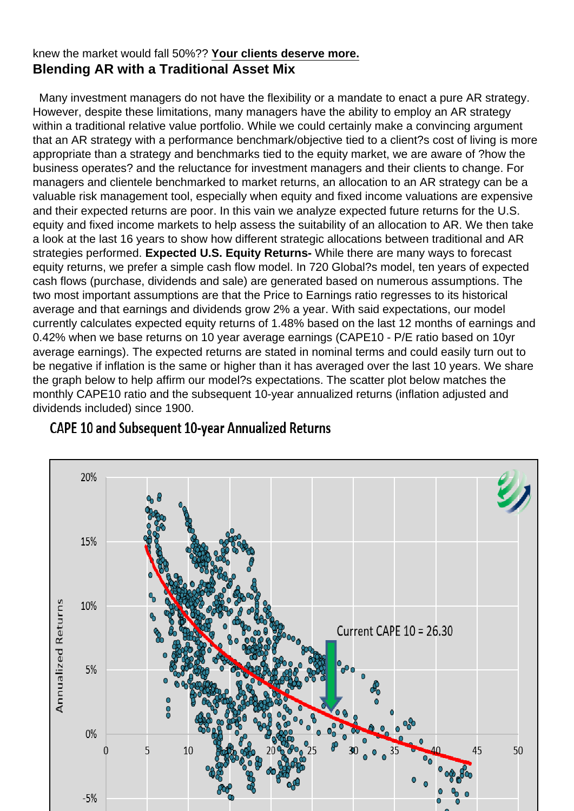## knew the market would fall 50%?? Your clients deserve more. Blending AR with a Traditional Asset Mix

 Many investment managers do not have the flexibility or a mandate to enact a pure AR strategy. However, despite these limitations, many managers have the ability to employ an AR strategy within a traditional relative value portfolio. While we could certainly make a convincing argument that an AR strategy with a performance benchmark/objective tied to a client?s cost of living is more appropriate than a strategy and benchmarks tied to the equity market, we are aware of ?how the business operates? and the reluctance for investment managers and their clients to change. For managers and clientele benchmarked to market returns, an allocation to an AR strategy can be a valuable risk management tool, especially when equity and fixed income valuations are expensive and their expected returns are poor. In this vain we analyze expected future returns for the U.S. equity and fixed income markets to help assess the suitability of an allocation to AR. We then take a look at the last 16 years to show how different strategic allocations between traditional and AR strategies performed. Expected U.S. Equity Returns- While there are many ways to forecast equity returns, we prefer a simple cash flow model. In 720 Global?s model, ten years of expected cash flows (purchase, dividends and sale) are generated based on numerous assumptions. The two most important assumptions are that the Price to Earnings ratio regresses to its historical average and that earnings and dividends grow 2% a year. With said expectations, our model currently calculates expected equity returns of 1.48% based on the last 12 months of earnings and 0.42% when we base returns on 10 year average earnings (CAPE10 - P/E ratio based on 10yr average earnings). The expected returns are stated in nominal terms and could easily turn out to be negative if inflation is the same or higher than it has averaged over the last 10 years. We share the graph below to help affirm our model?s expectations. The scatter plot below matches the monthly CAPE10 ratio and the subsequent 10-year annualized returns (inflation adjusted and dividends included) since 1900.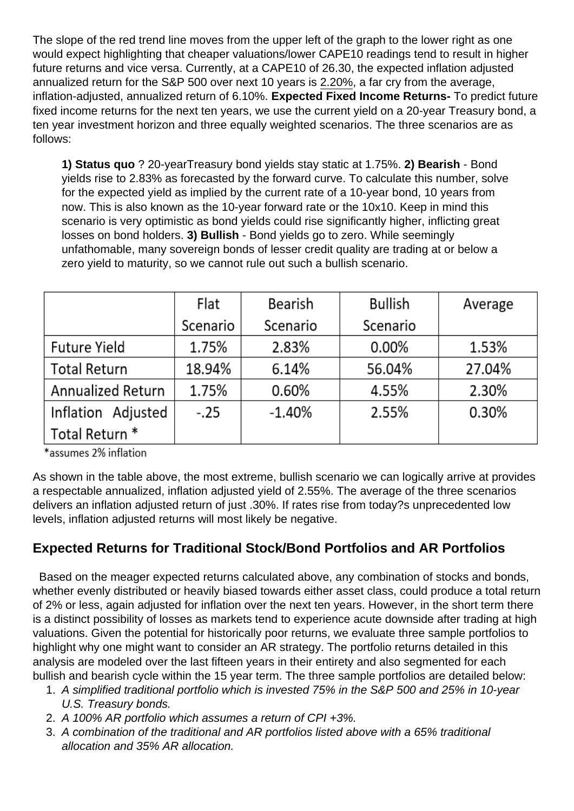The slope of the red trend line moves from the upper left of the graph to the lower right as one would expect highlighting that cheaper valuations/lower CAPE10 readings tend to result in higher future returns and vice versa. Currently, at a CAPE10 of 26.30, the expected inflation adjusted annualized return for the S&P 500 over next 10 years is 2.20%, a far cry from the average, inflation-adjusted, annualized return of 6.10%. Expected Fixed Income Returns- To predict future fixed income returns for the next ten years, we use the current yield on a 20-year Treasury bond, a ten year investment horizon and three equally weighted scenarios. The three scenarios are as follows:

1) Status quo ? 20-yearTreasury bond yields stay static at 1.75%. 2) Bearish - Bond yields rise to 2.83% as forecasted by the forward curve. To calculate this number, solve for the expected yield as implied by the current rate of a 10-year bond, 10 years from now. This is also known as the 10-year forward rate or the 10x10. Keep in mind this scenario is very optimistic as bond yields could rise significantly higher, inflicting great losses on bond holders. 3) Bullish - Bond yields go to zero. While seemingly unfathomable, many sovereign bonds of lesser credit quality are trading at or below a zero yield to maturity, so we cannot rule out such a bullish scenario.

As shown in the table above, the most extreme, bullish scenario we can logically arrive at provides a respectable annualized, inflation adjusted yield of 2.55%. The average of the three scenarios delivers an inflation adjusted return of just .30%. If rates rise from today?s unprecedented low levels, inflation adjusted returns will most likely be negative.

# Expected Returns for Traditional Stock/Bond Portfolios and AR Portfolios

 Based on the meager expected returns calculated above, any combination of stocks and bonds, whether evenly distributed or heavily biased towards either asset class, could produce a total return of 2% or less, again adjusted for inflation over the next ten years. However, in the short term there is a distinct possibility of losses as markets tend to experience acute downside after trading at high valuations. Given the potential for historically poor returns, we evaluate three sample portfolios to highlight why one might want to consider an AR strategy. The portfolio returns detailed in this analysis are modeled over the last fifteen years in their entirety and also segmented for each bullish and bearish cycle within the 15 year term. The three sample portfolios are detailed below:

- 1. A simplified traditional portfolio which is invested 75% in the S&P 500 and 25% in 10-year U.S. Treasury bonds.
- 2. A 100% AR portfolio which assumes a return of CPI +3%.
- 3. A combination of the traditional and AR portfolios listed above with a 65% traditional allocation and 35% AR allocation.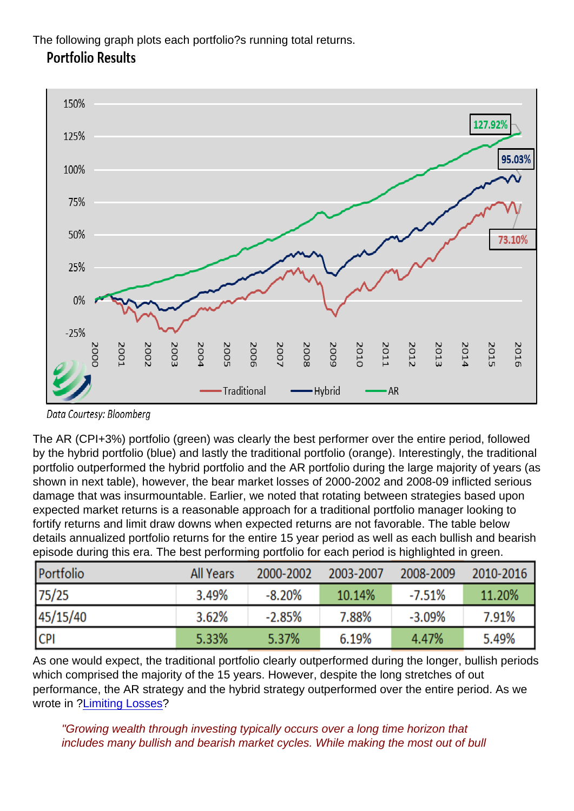The following graph plots each portfolio?s running total returns.

The AR (CPI+3%) portfolio (green) was clearly the best performer over the entire period, followed by the hybrid portfolio (blue) and lastly the traditional portfolio (orange). Interestingly, the traditional portfolio outperformed the hybrid portfolio and the AR portfolio during the large majority of years (as shown in next table), however, the bear market losses of 2000-2002 and 2008-09 inflicted serious damage that was insurmountable. Earlier, we noted that rotating between strategies based upon expected market returns is a reasonable approach for a traditional portfolio manager looking to fortify returns and limit draw downs when expected returns are not favorable. The table below details annualized portfolio returns for the entire 15 year period as well as each bullish and bearish episode during this era. The best performing portfolio for each period is highlighted in green.

As one would expect, the traditional portfolio clearly outperformed during the longer, bullish periods which comprised the majority of the 15 years. However, despite the long stretches of out performance, the AR strategy and the hybrid strategy outperformed over the entire period. As we wrote in [?Limiting Losses?](http://nebula.wsimg.com/881d97f2f5579111e40485c81fc0f55a?AccessKeyId=372BE07F51497C9CD088&disposition=0&alloworigin=1)

"Growing wealth through investing typically occurs over a long time horizon that includes many bullish and bearish market cycles. While making the most out of bull